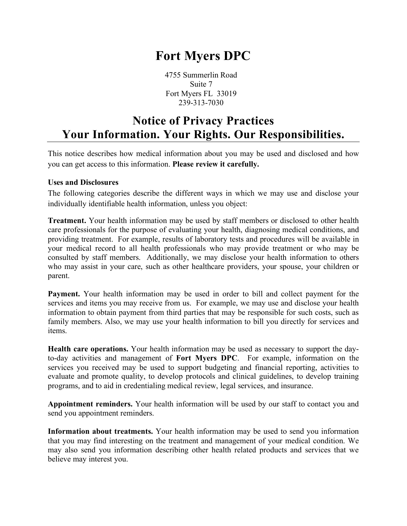# **Fort Myers DPC**

4755 Summerlin Road Suite 7 Fort Myers FL 33019 239-313-7030

## **Notice of Privacy Practices Your Information. Your Rights. Our Responsibilities.**

This notice describes how medical information about you may be used and disclosed and how you can get access to this information. **Please review it carefully.**

#### **Uses and Disclosures**

The following categories describe the different ways in which we may use and disclose your individually identifiable health information, unless you object:

**Treatment.** Your health information may be used by staff members or disclosed to other health care professionals for the purpose of evaluating your health, diagnosing medical conditions, and providing treatment. For example, results of laboratory tests and procedures will be available in your medical record to all health professionals who may provide treatment or who may be consulted by staff members. Additionally, we may disclose your health information to others who may assist in your care, such as other healthcare providers, your spouse, your children or parent.

**Payment.** Your health information may be used in order to bill and collect payment for the services and items you may receive from us. For example, we may use and disclose your health information to obtain payment from third parties that may be responsible for such costs, such as family members. Also, we may use your health information to bill you directly for services and items.

**Health care operations.** Your health information may be used as necessary to support the dayto-day activities and management of **Fort Myers DPC**. For example, information on the services you received may be used to support budgeting and financial reporting, activities to evaluate and promote quality, to develop protocols and clinical guidelines, to develop training programs, and to aid in credentialing medical review, legal services, and insurance.

**Appointment reminders.** Your health information will be used by our staff to contact you and send you appointment reminders.

**Information about treatments.** Your health information may be used to send you information that you may find interesting on the treatment and management of your medical condition. We may also send you information describing other health related products and services that we believe may interest you.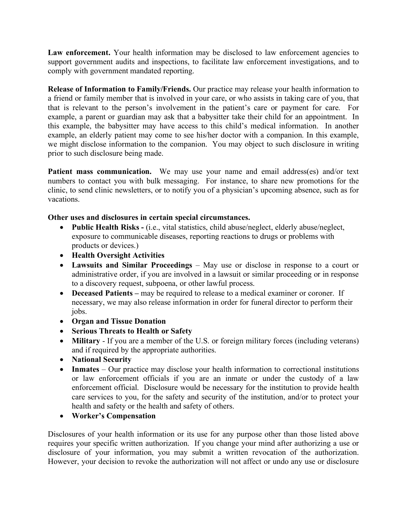Law enforcement. Your health information may be disclosed to law enforcement agencies to support government audits and inspections, to facilitate law enforcement investigations, and to comply with government mandated reporting.

**Release of Information to Family/Friends.** Our practice may release your health information to a friend or family member that is involved in your care, or who assists in taking care of you, that that is relevant to the person's involvement in the patient's care or payment for care. For example, a parent or guardian may ask that a babysitter take their child for an appointment. In this example, the babysitter may have access to this child's medical information. In another example, an elderly patient may come to see his/her doctor with a companion. In this example, we might disclose information to the companion. You may object to such disclosure in writing prior to such disclosure being made.

Patient mass communication. We may use your name and email address(es) and/or text numbers to contact you with bulk messaging. For instance, to share new promotions for the clinic, to send clinic newsletters, or to notify you of a physician's upcoming absence, such as for vacations.

### **Other uses and disclosures in certain special circumstances.**

- **Public Health Risks -** (i.e., vital statistics, child abuse/neglect, elderly abuse/neglect, exposure to communicable diseases, reporting reactions to drugs or problems with products or devices.)
- **Health Oversight Activities**
- **Lawsuits and Similar Proceedings** May use or disclose in response to a court or administrative order, if you are involved in a lawsuit or similar proceeding or in response to a discovery request, subpoena, or other lawful process.
- **Deceased Patients** may be required to release to a medical examiner or coroner. If necessary, we may also release information in order for funeral director to perform their jobs.
- **Organ and Tissue Donation**
- **Serious Threats to Health or Safety**
- **Military** If you are a member of the U.S. or foreign military forces (including veterans) and if required by the appropriate authorities.
- **National Security**
- **Inmates** Our practice may disclose your health information to correctional institutions or law enforcement officials if you are an inmate or under the custody of a law enforcement official. Disclosure would be necessary for the institution to provide health care services to you, for the safety and security of the institution, and/or to protect your health and safety or the health and safety of others.
- **Worker's Compensation**

Disclosures of your health information or its use for any purpose other than those listed above requires your specific written authorization. If you change your mind after authorizing a use or disclosure of your information, you may submit a written revocation of the authorization. However, your decision to revoke the authorization will not affect or undo any use or disclosure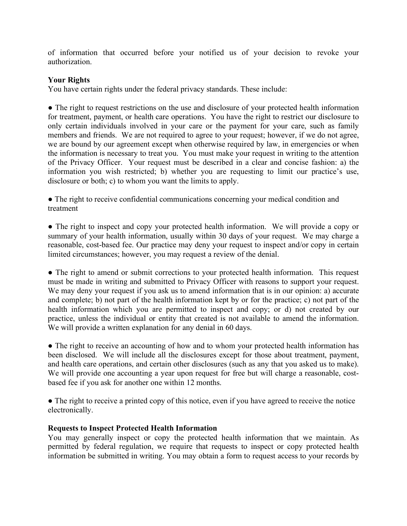of information that occurred before your notified us of your decision to revoke your authorization.

#### **Your Rights**

You have certain rights under the federal privacy standards. These include:

• The right to request restrictions on the use and disclosure of your protected health information for treatment, payment, or health care operations. You have the right to restrict our disclosure to only certain individuals involved in your care or the payment for your care, such as family members and friends. We are not required to agree to your request; however, if we do not agree, we are bound by our agreement except when otherwise required by law, in emergencies or when the information is necessary to treat you. You must make your request in writing to the attention of the Privacy Officer. Your request must be described in a clear and concise fashion: a) the information you wish restricted; b) whether you are requesting to limit our practice's use, disclosure or both; c) to whom you want the limits to apply.

● The right to receive confidential communications concerning your medical condition and treatment

● The right to inspect and copy your protected health information. We will provide a copy or summary of your health information, usually within 30 days of your request. We may charge a reasonable, cost-based fee. Our practice may deny your request to inspect and/or copy in certain limited circumstances; however, you may request a review of the denial.

• The right to amend or submit corrections to your protected health information. This request must be made in writing and submitted to Privacy Officer with reasons to support your request. We may deny your request if you ask us to amend information that is in our opinion: a) accurate and complete; b) not part of the health information kept by or for the practice; c) not part of the health information which you are permitted to inspect and copy; or d) not created by our practice, unless the individual or entity that created is not available to amend the information. We will provide a written explanation for any denial in 60 days.

• The right to receive an accounting of how and to whom your protected health information has been disclosed. We will include all the disclosures except for those about treatment, payment, and health care operations, and certain other disclosures (such as any that you asked us to make). We will provide one accounting a year upon request for free but will charge a reasonable, costbased fee if you ask for another one within 12 months.

• The right to receive a printed copy of this notice, even if you have agreed to receive the notice electronically.

#### **Requests to Inspect Protected Health Information**

You may generally inspect or copy the protected health information that we maintain. As permitted by federal regulation, we require that requests to inspect or copy protected health information be submitted in writing. You may obtain a form to request access to your records by